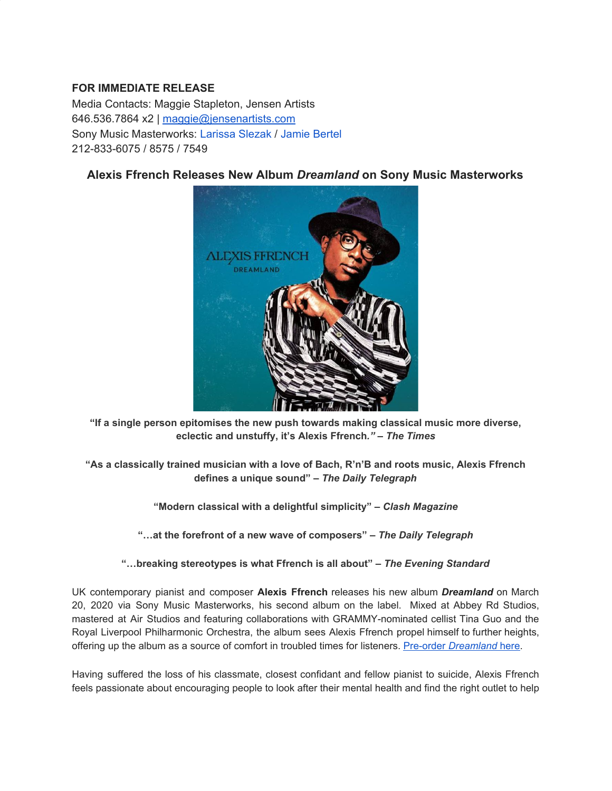## **FOR IMMEDIATE RELEASE**

Media Contacts: Maggie Stapleton, Jensen Artists 646.536.7864 x2 | [maggie@jensenartists.com](mailto:maggie@jensenartists.com) Sony Music Masterworks: Larissa Slezak / Jamie Bertel 212-833-6075 / 8575 / 7549

## **Alexis Ffrench Releases New Album** *Dreamland* **on Sony Music Masterworks**



**"If a single person epitomises the new push towards making classical music more diverse, eclectic and unstuffy, it's Alexis Ffrench***."* **–** *The Times*

**"As a classically trained musician with a love of Bach, R'n'B and roots music, Alexis Ffrench defines a unique sound" –** *The Daily Telegraph*

**"Modern classical with a delightful simplicity" –** *Clash Magazine*

**"…at the forefront of a new wave of composers" –** *The Daily Telegraph*

**"…breaking stereotypes is what Ffrench is all about" –** *The Evening Standard*

UK contemporary pianist and composer **Alexis Ffrench** releases his new album *Dreamland* on March 20, 2020 via Sony Music Masterworks, his second album on the label. Mixed at Abbey Rd Studios, mastered at Air Studios and featuring collaborations with GRAMMY-nominated cellist Tina Guo and the Royal Liverpool Philharmonic Orchestra, the album sees Alexis Ffrench propel himself to further heights, offering up the album as a source of comfort in troubled times for listeners. [Pre-order](https://u7061146.ct.sendgrid.net/ls/click?upn=4tNED-2FM8iDZJQyQ53jATUZSG-2BWHb6Fiq1IIc2EkpwzGXkBp6H-2B1ftQobmlvLeEZvfopB_IpA7hxueGg5XIsiAxedwPJ6X7KkvJosY9CQSXImWzsGT2TMlME98D1uoJFSQ2tXLntiI-2BJ2MeBovEtABaBEmsOOFc-2BVBaLMHWENAhPqWPGwbOe73Q6QkEb3uCTvo2bdrcdwj2TravqDdAabxEpcq3tTLMW-2FxBv2IhepGQw6QbWyOY4pZdsE-2FRTvXvjgG2ulQk7V2McPce04xAxXq4c-2FHkNb3dojzMSarKD5muIIZiJ0ekV8lUhUiNBvDfjupLonQtBeKDOnkJxJkhuXrszsJoQTT4DTPnUQ-2FuhEJ6rhBHg-2BwPoGfTBxp9h5RLC-2BVAFrXDFCJZm3b9t4GSW1hwDnkC4HUCRGg1LAz6Zo9TBhasHo-3D) *[Dreamland](https://u7061146.ct.sendgrid.net/ls/click?upn=4tNED-2FM8iDZJQyQ53jATUZSG-2BWHb6Fiq1IIc2EkpwzGXkBp6H-2B1ftQobmlvLeEZvfopB_IpA7hxueGg5XIsiAxedwPJ6X7KkvJosY9CQSXImWzsGT2TMlME98D1uoJFSQ2tXLntiI-2BJ2MeBovEtABaBEmsOOFc-2BVBaLMHWENAhPqWPGwbOe73Q6QkEb3uCTvo2bdrcdwj2TravqDdAabxEpcq3tTLMW-2FxBv2IhepGQw6QbWyOY4pZdsE-2FRTvXvjgG2ulQk7V2McPce04xAxXq4c-2FHkNb3dojzMSarKD5muIIZiJ0ekV8lUhUiNBvDfjupLonQtBeKDOnkJxJkhuXrszsJoQTT4DTPnUQ-2FuhEJ6rhBHg-2BwPoGfTBxp9h5RLC-2BVAFrXDFCJZm3b9t4GSW1hwDnkC4HUCRGg1LAz6Zo9TBhasHo-3D)* [here](https://u7061146.ct.sendgrid.net/ls/click?upn=4tNED-2FM8iDZJQyQ53jATUZSG-2BWHb6Fiq1IIc2EkpwzGXkBp6H-2B1ftQobmlvLeEZvfopB_IpA7hxueGg5XIsiAxedwPJ6X7KkvJosY9CQSXImWzsGT2TMlME98D1uoJFSQ2tXLntiI-2BJ2MeBovEtABaBEmsOOFc-2BVBaLMHWENAhPqWPGwbOe73Q6QkEb3uCTvo2bdrcdwj2TravqDdAabxEpcq3tTLMW-2FxBv2IhepGQw6QbWyOY4pZdsE-2FRTvXvjgG2ulQk7V2McPce04xAxXq4c-2FHkNb3dojzMSarKD5muIIZiJ0ekV8lUhUiNBvDfjupLonQtBeKDOnkJxJkhuXrszsJoQTT4DTPnUQ-2FuhEJ6rhBHg-2BwPoGfTBxp9h5RLC-2BVAFrXDFCJZm3b9t4GSW1hwDnkC4HUCRGg1LAz6Zo9TBhasHo-3D).

Having suffered the loss of his classmate, closest confidant and fellow pianist to suicide, Alexis Ffrench feels passionate about encouraging people to look after their mental health and find the right outlet to help